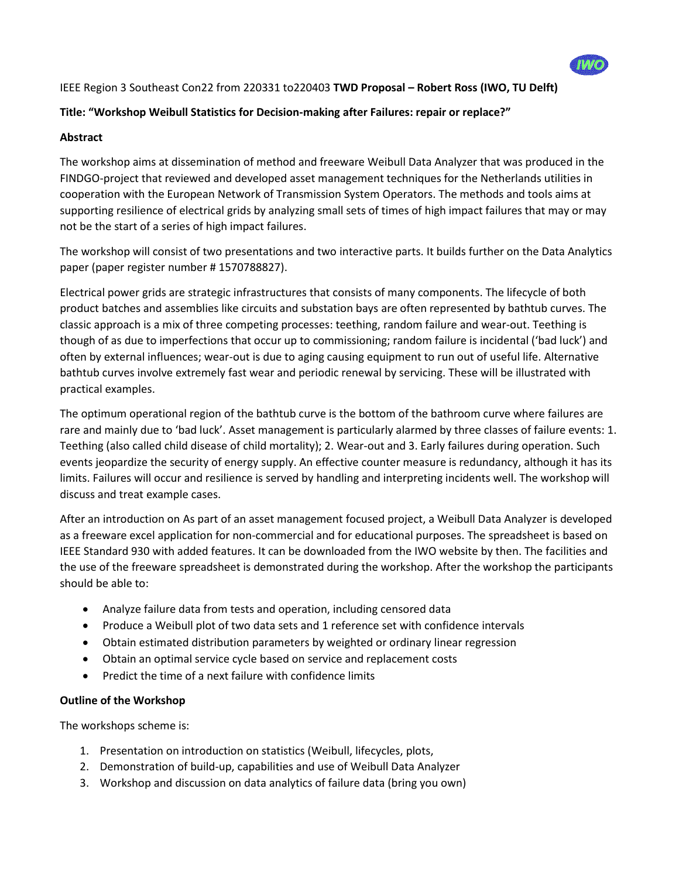

## IEEE Region 3 Southeast Con22 from 220331 to220403 **TWD Proposal – Robert Ross (IWO, TU Delft)**

# **Title: "Workshop Weibull Statistics for Decision-making after Failures: repair or replace?"**

## **Abstract**

The workshop aims at dissemination of method and freeware Weibull Data Analyzer that was produced in the FINDGO-project that reviewed and developed asset management techniques for the Netherlands utilities in cooperation with the European Network of Transmission System Operators. The methods and tools aims at supporting resilience of electrical grids by analyzing small sets of times of high impact failures that may or may not be the start of a series of high impact failures.

The workshop will consist of two presentations and two interactive parts. It builds further on the Data Analytics paper (paper register number # 1570788827).

Electrical power grids are strategic infrastructures that consists of many components. The lifecycle of both product batches and assemblies like circuits and substation bays are often represented by bathtub curves. The classic approach is a mix of three competing processes: teething, random failure and wear-out. Teething is though of as due to imperfections that occur up to commissioning; random failure is incidental ('bad luck') and often by external influences; wear-out is due to aging causing equipment to run out of useful life. Alternative bathtub curves involve extremely fast wear and periodic renewal by servicing. These will be illustrated with practical examples.

The optimum operational region of the bathtub curve is the bottom of the bathroom curve where failures are rare and mainly due to 'bad luck'. Asset management is particularly alarmed by three classes of failure events: 1. Teething (also called child disease of child mortality); 2. Wear-out and 3. Early failures during operation. Such events jeopardize the security of energy supply. An effective counter measure is redundancy, although it has its limits. Failures will occur and resilience is served by handling and interpreting incidents well. The workshop will discuss and treat example cases.

After an introduction on As part of an asset management focused project, a Weibull Data Analyzer is developed as a freeware excel application for non-commercial and for educational purposes. The spreadsheet is based on IEEE Standard 930 with added features. It can be downloaded from the IWO website by then. The facilities and the use of the freeware spreadsheet is demonstrated during the workshop. After the workshop the participants should be able to:

- Analyze failure data from tests and operation, including censored data
- Produce a Weibull plot of two data sets and 1 reference set with confidence intervals
- Obtain estimated distribution parameters by weighted or ordinary linear regression
- Obtain an optimal service cycle based on service and replacement costs
- Predict the time of a next failure with confidence limits

#### **Outline of the Workshop**

The workshops scheme is:

- 1. Presentation on introduction on statistics (Weibull, lifecycles, plots,
- 2. Demonstration of build-up, capabilities and use of Weibull Data Analyzer
- 3. Workshop and discussion on data analytics of failure data (bring you own)